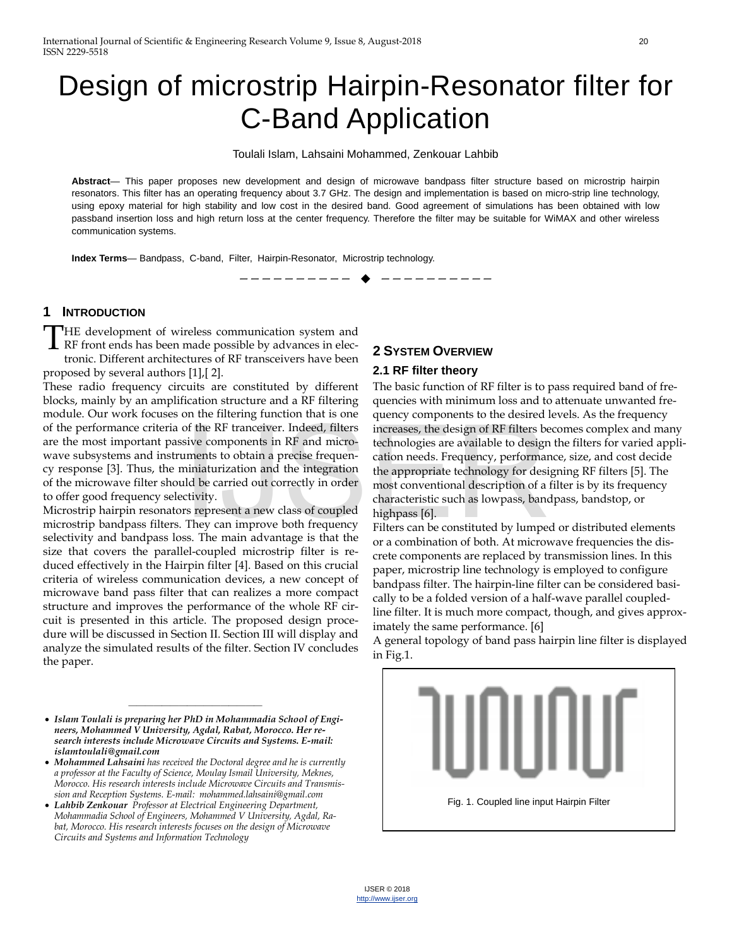# Design of microstrip Hairpin-Resonator filter for C-Band Application

Toulali Islam, Lahsaini Mohammed, Zenkouar Lahbib

**Abstract**— This paper proposes new development and design of microwave bandpass filter structure based on microstrip hairpin resonators. This filter has an operating frequency about 3.7 GHz. The design and implementation is based on micro-strip line technology, using epoxy material for high stability and low cost in the desired band. Good agreement of simulations has been obtained with low passband insertion loss and high return loss at the center frequency. Therefore the filter may be suitable for WiMAX and other wireless communication systems.

—————————— ——————————

**Index Terms**— Bandpass, C-band, Filter, Hairpin-Resonator, Microstrip technology.

### **1 INTRODUCTION**

HE development of wireless communication system and THE development of wireless communication system and<br>RF front ends has been made possible by advances in electronic. Different architectures of RF transceivers have been proposed by several authors [1],[ 2].

These radio frequency circuits are constituted by different blocks, mainly by an amplification structure and a RF filtering module. Our work focuses on the filtering function that is one of the performance criteria of the RF tranceiver. Indeed, filters are the most important passive components in RF and microwave subsystems and instruments to obtain a precise frequency response [3]. Thus, the miniaturization and the integration of the microwave filter should be carried out correctly in order to offer good frequency selectivity.

Microstrip hairpin resonators represent a new class of coupled microstrip bandpass filters. They can improve both frequency selectivity and bandpass loss. The main advantage is that the size that covers the parallel-coupled microstrip filter is reduced effectively in the Hairpin filter [4]. Based on this crucial criteria of wireless communication devices, a new concept of microwave band pass filter that can realizes a more compact structure and improves the performance of the whole RF circuit is presented in this article. The proposed design procedure will be discussed in Section II. Section III will display and analyze the simulated results of the filter. Section IV concludes the paper.

————————————————

# **2 SYSTEM OVERVIEW**

#### **2.1 RF filter theory**

The basic function of RF filter is to pass required band of frequencies with minimum loss and to attenuate unwanted frequency components to the desired levels. As the frequency increases, the design of RF filters becomes complex and many technologies are available to design the filters for varied application needs. Frequency, performance, size, and cost decide the appropriate technology for designing RF filters [5]. The most conventional description of a filter is by its frequency characteristic such as lowpass, bandpass, bandstop, or highpass [6]. of the RF tranceiver. Indeed, filters<br>sive components in RF and micro-<br>technologies are available to design<br>ments to obtain a precise frequen-<br>ininiaturization and the integration reeds. Frequency, performan<br>iniaturization

Filters can be constituted by lumped or distributed elements or a combination of both. At microwave frequencies the discrete components are replaced by transmission lines. In this paper, microstrip line technology is employed to configure bandpass filter. The hairpin-line filter can be considered basically to be a folded version of a half-wave parallel coupledline filter. It is much more compact, though, and gives approximately the same performance. [6]

A general topology of band pass hairpin line filter is displayed in Fig.1.



<sup>•</sup> *Islam Toulali is preparing her PhD in Mohammadia School of Engineers, Mohammed V University, Agdal, Rabat, Morocco. Her research interests include Microwave Circuits and Systems. E-mail: islamtoulali@gmail.com*

<sup>•</sup> *Mohammed Lahsaini has received the Doctoral degree and he is currently a professor at the Faculty of Science, Moulay Ismail University, Meknes, Morocco. His research interests include Microwave Circuits and Transmission and Reception Systems. E-mail: mohammed.lahsaini@gmail.com* 

<sup>•</sup> *Lahbib Zenkouar Professor at Electrical Engineering Department, Mohammadia School of Engineers, Mohammed V University, Agdal, Rabat, Morocco. His research interests focuses on the design of Microwave Circuits and Systems and Information Technology*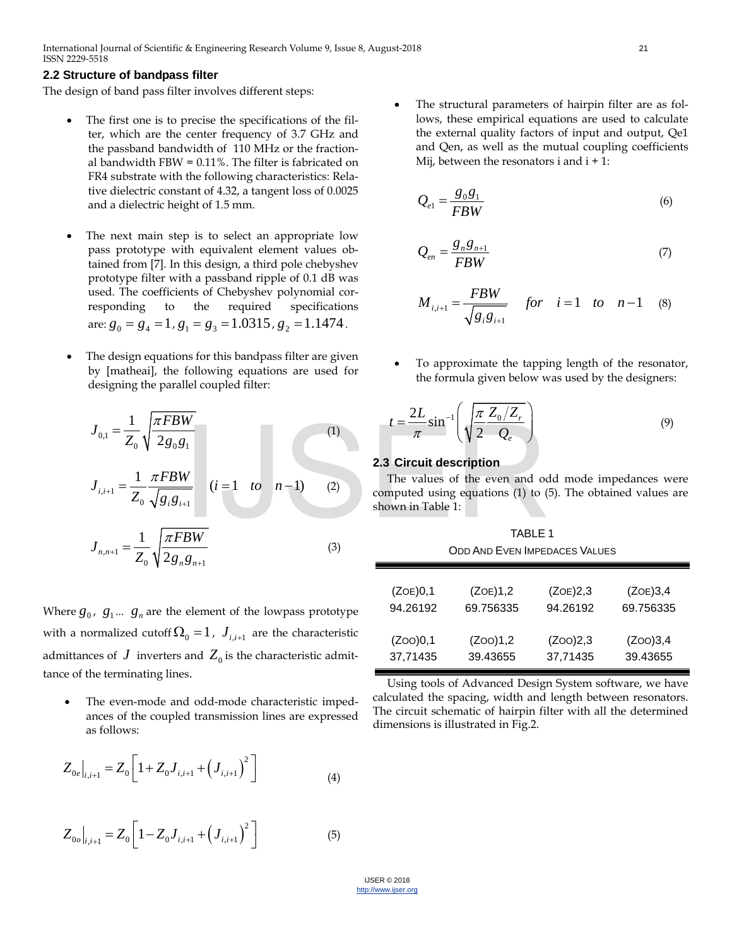#### **2.2 Structure of bandpass filter**

The design of band pass filter involves different steps:

- The first one is to precise the specifications of the filter, which are the center frequency of 3.7 GHz and the passband bandwidth of 110 MHz or the fractional bandwidth FBW = 0.11%. The filter is fabricated on FR4 substrate with the following characteristics: Relative dielectric constant of 4.32, a tangent loss of 0.0025 and a dielectric height of 1.5 mm.
- The next main step is to select an appropriate low pass prototype with equivalent element values obtained from [7]. In this design, a third pole chebyshev prototype filter with a passband ripple of 0.1 dB was used. The coefficients of Chebyshev polynomial corresponding to the required specifications are:  $g_0 = g_4 = 1$ ,  $g_1 = g_3 = 1.0315$ ,  $g_2 = 1.1474$ .
- The design equations for this bandpass filter are given by [matheai], the following equations are used for designing the parallel coupled filter:

$$
J_{0,1} = \frac{1}{Z_0} \sqrt{\frac{\pi FBW}{2g_0g_1}}
$$
  
\n
$$
J_{i,i+1} = \frac{1}{Z_0} \frac{\pi FBW}{\sqrt{g_i g_{i+1}}}
$$
  
\n
$$
J_{n,n+1} = \frac{1}{Z_0} \sqrt{\frac{\pi FBW}{2g_n g_{n+1}}}
$$
  
\n
$$
(i = 1 \text{ to } n-1)
$$
  
\n
$$
(1) \qquad t = \frac{2L}{\pi} \sin^{-1} \left(\sqrt{\frac{\pi}{2} \frac{Z_0/Z_r}{Q_e}}\right)
$$
  
\n2.3 Circuit description  
\nThe values of the even and oc  
\ncomputed using equations (1) to (shown in Table 1:  
\n
$$
J_{n,n+1} = \frac{1}{Z_0} \sqrt{\frac{\pi FBW}{2g_n g_{n+1}}}
$$
  
\n(3)

Where  $g_0$ ,  $g_1$ ...  $g_n$  are the element of the lowpass prototype with a normalized cutoff  $\Omega_0 = 1$ ,  $J_{i,i+1}$  are the characteristic admittances of  $J$  inverters and  $Z_0$  is the characteristic admittance of the terminating lines.

The even-mode and odd-mode characteristic impedances of the coupled transmission lines are expressed as follows:

$$
Z_{0e}|_{i,i+1} = Z_0 \left[ 1 + Z_0 J_{i,i+1} + \left( J_{i,i+1} \right)^2 \right]
$$
\n(4)

$$
Z_{0o}|_{i,i+1} = Z_0 \left[1 - Z_0 J_{i,i+1} + \left(J_{i,i+1}\right)^2\right]
$$
 (5)

The structural parameters of hairpin filter are as follows, these empirical equations are used to calculate the external quality factors of input and output, Qe1 and Qen, as well as the mutual coupling coefficients Mij, between the resonators i and  $i + 1$ :

$$
Q_{e1} = \frac{g_0 g_1}{FBW} \tag{6}
$$

$$
Q_{en} = \frac{g_n g_{n+1}}{FBW} \tag{7}
$$

$$
M_{i,i+1} = \frac{FBW}{\sqrt{g_i g_{i+1}}} \quad \text{for} \quad i = 1 \quad \text{to} \quad n-1 \quad (8)
$$

• To approximate the tapping length of the resonator, the formula given below was used by the designers:

$$
t = \frac{2L}{\pi} \sin^{-1} \left( \sqrt{\frac{\pi}{2} \frac{Z_0/Z_r}{Q_e}} \right)
$$
 (9)

#### **2.3 Circuit description**

The values of the even and odd mode impedances were computed using equations (1) to (5). The obtained values are shown in Table 1:

| <b>TABLE 1</b><br><b>ODD AND EVEN IMPEDACES VALUES</b> |           |          |           |
|--------------------------------------------------------|-----------|----------|-----------|
| (ZOE)0,1                                               | (ZOE)1,2  | (ZOE)2,3 | (ZOE)3,4  |
| 94.26192                                               | 69.756335 | 94.26192 | 69.756335 |
| (ZOO)0,1                                               | (ZOO)1,2  | (ZOO)2,3 | (ZOO)3,4  |
| 37,71435                                               | 39.43655  | 37,71435 | 39.43655  |

Using tools of Advanced Design System software, we have calculated the spacing, width and length between resonators. The circuit schematic of hairpin filter with all the determined dimensions is illustrated in Fig.2.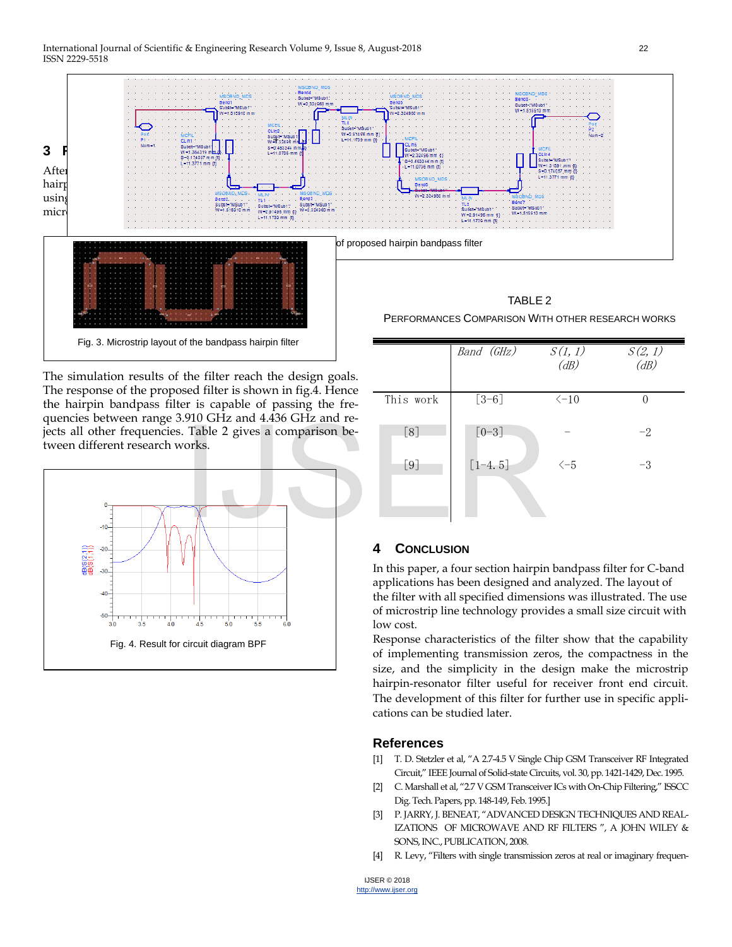

The simulation results of the filter reach the design goals. The response of the proposed filter is shown in fig.4. Hence the hairpin bandpass filter is capable of passing the frequencies between range 3.910 GHz and 4.436 GHz and rejects all other frequencies. Table 2 gives a comparison between different research works.



Band (GHz) S(1,1)  $(dB)$ S(2,1)  $(dB)$ This work  $\begin{bmatrix} 3-6 \end{bmatrix}$   $\langle -10 \end{bmatrix}$  0  $[8]$   $[0-3]$  -  $-2$  $\begin{bmatrix} 9 \end{bmatrix}$   $\begin{bmatrix} 1-4.5 \end{bmatrix}$   $\langle -5 \end{bmatrix}$   $-3$ 

# **4 CONCLUSION**

In this paper, a four section hairpin bandpass filter for C-band applications has been designed and analyzed. The layout of the filter with all specified dimensions was illustrated. The use of microstrip line technology provides a small size circuit with low cost.

Response characteristics of the filter show that the capability of implementing transmission zeros, the compactness in the size, and the simplicity in the design make the microstrip hairpin-resonator filter useful for receiver front end circuit. The development of this filter for further use in specific applications can be studied later.

## **References**

- [1] T. D. Stetzler et al, "A 2.7-4.5 V Single Chip GSM Transceiver RF Integrated Circuit," IEEE Journal of Solid-state Circuits, vol. 30, pp. 1421-1429, Dec. 1995.
- [2] C. Marshall et al, "2.7 V GSM Transceiver ICs with On-Chip Filtering," ISSCC Dig. Tech. Papers, pp. 148-149, Feb. 1995.]
- [3] P. JARRY, J. BENEAT, "ADVANCED DESIGN TECHNIQUES AND REAL-IZATIONS OF MICROWAVE AND RF FILTERS ", A JOHN WILEY & SONS, INC., PUBLICATION, 2008.
- [4] R. Levy, "Filters with single transmission zeros at real or imaginary frequen-

IJSER © 2018 [http://www.ijser.org](http://www.ijser.org/)